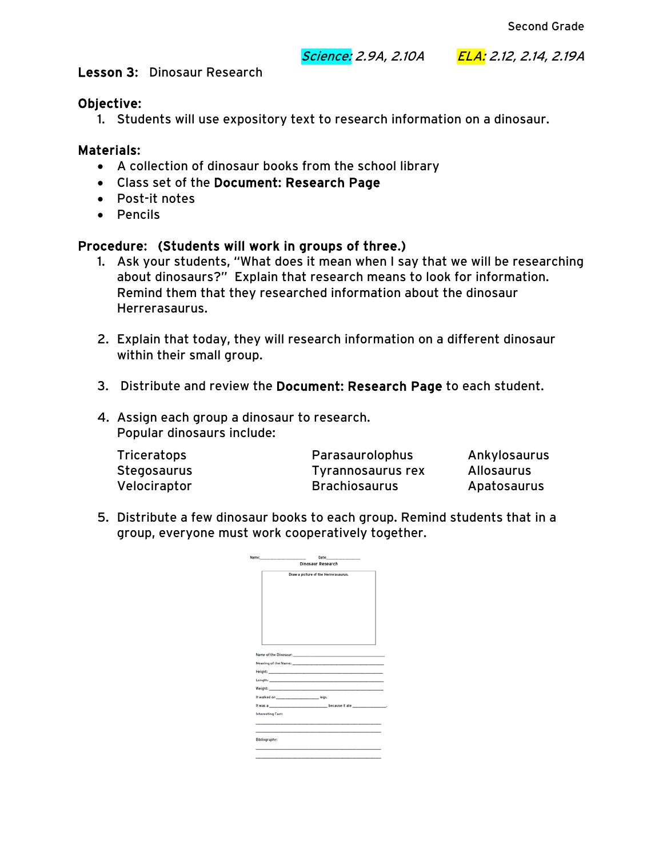#### Science: 2.9A, 2.10A ELA: 2.12, 2.14, 2.19A

Lesson 3: Dinosaur Research

### Objective:

1. Students will use expository text to research information on a dinosaur.

## Materials:

- A collection of dinosaur books from the school library
- Class set of the Document: Research Page
- Post-it notes
- Pencils

## Procedure: (Students will work in groups of three.)

- 1. Ask your students, "What does it mean when I say that we will be researching about dinosaurs?" Explain that research means to look for information. Remind them that they researched information about the dinosaur Herrerasaurus.
- 2. Explain that today, they will research information on a different dinosaur within their small group.
- 3. Distribute and review the Document: Research Page to each student.
- 4. Assign each group a dinosaur to research. Popular dinosaurs include:

| <b>Triceratops</b> | Parasaurolophus      | Ankylosaurus |
|--------------------|----------------------|--------------|
| Stegosaurus        | Tyrannosaurus rex    | Allosaurus   |
| Velociraptor       | <b>Brachiosaurus</b> | Apatosaurus  |

5. Distribute a few dinosaur books to each group. Remind students that in a group, everyone must work cooperatively together.

| <b>Dinosaur Research</b> |  |                                                                                                                                                                                                                               |  |  |
|--------------------------|--|-------------------------------------------------------------------------------------------------------------------------------------------------------------------------------------------------------------------------------|--|--|
|                          |  | Draw a picture of the Herrerasaurus.                                                                                                                                                                                          |  |  |
|                          |  |                                                                                                                                                                                                                               |  |  |
|                          |  |                                                                                                                                                                                                                               |  |  |
|                          |  |                                                                                                                                                                                                                               |  |  |
|                          |  |                                                                                                                                                                                                                               |  |  |
|                          |  |                                                                                                                                                                                                                               |  |  |
|                          |  |                                                                                                                                                                                                                               |  |  |
|                          |  |                                                                                                                                                                                                                               |  |  |
|                          |  |                                                                                                                                                                                                                               |  |  |
|                          |  |                                                                                                                                                                                                                               |  |  |
|                          |  |                                                                                                                                                                                                                               |  |  |
|                          |  |                                                                                                                                                                                                                               |  |  |
|                          |  |                                                                                                                                                                                                                               |  |  |
|                          |  | Meaning of the Name: Manual According to the Manual According of the Name:                                                                                                                                                    |  |  |
|                          |  |                                                                                                                                                                                                                               |  |  |
|                          |  |                                                                                                                                                                                                                               |  |  |
|                          |  | Weight: New York: New York: New York: New York: New York: New York: New York: New York: New York: New York: New York: New York: New York: New York: New York: New York: New York: New York: New York: New York: New York: New |  |  |
|                          |  |                                                                                                                                                                                                                               |  |  |
|                          |  |                                                                                                                                                                                                                               |  |  |
| <b>Interesting Fact:</b> |  |                                                                                                                                                                                                                               |  |  |
|                          |  |                                                                                                                                                                                                                               |  |  |
|                          |  |                                                                                                                                                                                                                               |  |  |
|                          |  |                                                                                                                                                                                                                               |  |  |
| <b>Bibliography:</b>     |  |                                                                                                                                                                                                                               |  |  |